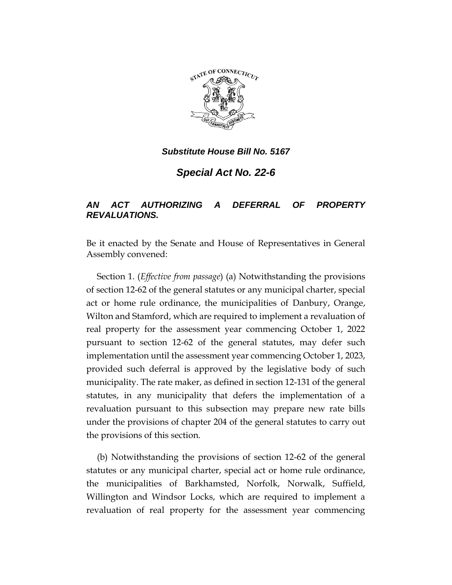

*Substitute House Bill No. 5167*

*Special Act No. 22-6*

## *AN ACT AUTHORIZING A DEFERRAL OF PROPERTY REVALUATIONS.*

Be it enacted by the Senate and House of Representatives in General Assembly convened:

Section 1. (*Effective from passage*) (a) Notwithstanding the provisions of section 12-62 of the general statutes or any municipal charter, special act or home rule ordinance, the municipalities of Danbury, Orange, Wilton and Stamford, which are required to implement a revaluation of real property for the assessment year commencing October 1, 2022 pursuant to section 12-62 of the general statutes, may defer such implementation until the assessment year commencing October 1, 2023, provided such deferral is approved by the legislative body of such municipality. The rate maker, as defined in section 12-131 of the general statutes, in any municipality that defers the implementation of a revaluation pursuant to this subsection may prepare new rate bills under the provisions of chapter 204 of the general statutes to carry out the provisions of this section.

(b) Notwithstanding the provisions of section 12-62 of the general statutes or any municipal charter, special act or home rule ordinance, the municipalities of Barkhamsted, Norfolk, Norwalk, Suffield, Willington and Windsor Locks, which are required to implement a revaluation of real property for the assessment year commencing